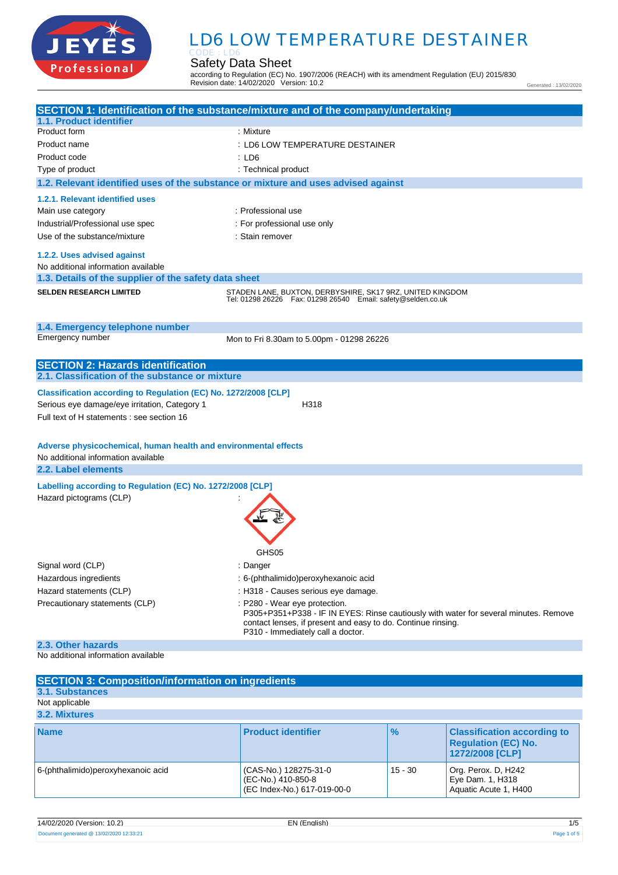

# **.** LD6 LOW TEMPERATURE DESTAINER

Safety Data Sheet CODE : LD6

according to Regulation (EC) No. 1907/2006 (REACH) with its amendment Regulation (EU) 2015/830 Revision date: 14/02/2020 Version: 10.2

Generated : 13/02/2020

| 1.1. Product identifier                                         | SECTION 1: Identification of the substance/mixture and of the company/undertaking                                                                                                         |  |
|-----------------------------------------------------------------|-------------------------------------------------------------------------------------------------------------------------------------------------------------------------------------------|--|
| Product form                                                    | : Mixture                                                                                                                                                                                 |  |
| Product name                                                    | : LD6 LOW TEMPERATURE DESTAINER                                                                                                                                                           |  |
| Product code                                                    | :LD6                                                                                                                                                                                      |  |
| Type of product                                                 | : Technical product                                                                                                                                                                       |  |
|                                                                 | 1.2. Relevant identified uses of the substance or mixture and uses advised against                                                                                                        |  |
| 1.2.1. Relevant identified uses                                 |                                                                                                                                                                                           |  |
| Main use category                                               | : Professional use                                                                                                                                                                        |  |
| Industrial/Professional use spec                                | : For professional use only                                                                                                                                                               |  |
| Use of the substance/mixture                                    | : Stain remover                                                                                                                                                                           |  |
|                                                                 |                                                                                                                                                                                           |  |
| 1.2.2. Uses advised against                                     |                                                                                                                                                                                           |  |
| No additional information available                             |                                                                                                                                                                                           |  |
| 1.3. Details of the supplier of the safety data sheet           |                                                                                                                                                                                           |  |
| <b>SELDEN RESEARCH LIMITED</b>                                  | STADEN LANE, BUXTON, DERBYSHIRE, SK17 9RZ, UNITED KINGDOM<br>Tel: 01298 26226    Fax: 01298 26540    Email: safety@selden.co.uk                                                           |  |
| 1.4. Emergency telephone number                                 |                                                                                                                                                                                           |  |
| Emergency number                                                | Mon to Fri 8.30am to 5.00pm - 01298 26226                                                                                                                                                 |  |
|                                                                 |                                                                                                                                                                                           |  |
| <b>SECTION 2: Hazards identification</b>                        |                                                                                                                                                                                           |  |
| 2.1. Classification of the substance or mixture                 |                                                                                                                                                                                           |  |
| Classification according to Regulation (EC) No. 1272/2008 [CLP] |                                                                                                                                                                                           |  |
| Serious eye damage/eye irritation, Category 1                   | H318                                                                                                                                                                                      |  |
| Full text of H statements : see section 16                      |                                                                                                                                                                                           |  |
|                                                                 |                                                                                                                                                                                           |  |
| Adverse physicochemical, human health and environmental effects |                                                                                                                                                                                           |  |
| No additional information available                             |                                                                                                                                                                                           |  |
| 2.2. Label elements                                             |                                                                                                                                                                                           |  |
|                                                                 |                                                                                                                                                                                           |  |
| Labelling according to Regulation (EC) No. 1272/2008 [CLP]      |                                                                                                                                                                                           |  |
| Hazard pictograms (CLP)                                         |                                                                                                                                                                                           |  |
|                                                                 |                                                                                                                                                                                           |  |
|                                                                 |                                                                                                                                                                                           |  |
|                                                                 |                                                                                                                                                                                           |  |
|                                                                 | GHS05                                                                                                                                                                                     |  |
| Signal word (CLP)                                               | : Danger                                                                                                                                                                                  |  |
| Hazardous ingredients                                           | : 6-(phthalimido)peroxyhexanoic acid                                                                                                                                                      |  |
| Hazard statements (CLP)                                         | : H318 - Causes serious eye damage.                                                                                                                                                       |  |
| Precautionary statements (CLP)                                  | : P280 - Wear eye protection.                                                                                                                                                             |  |
|                                                                 | P305+P351+P338 - IF IN EYES: Rinse cautiously with water for several minutes. Remove<br>contact lenses, if present and easy to do. Continue rinsing.<br>P310 - Immediately call a doctor. |  |
| 2.3. Other hazards<br>No additional information available       |                                                                                                                                                                                           |  |
|                                                                 |                                                                                                                                                                                           |  |
| <b>SECTION 3: Composition/information on ingredients</b>        |                                                                                                                                                                                           |  |
| <b>3.1. Substances</b>                                          |                                                                                                                                                                                           |  |
| Not applicable                                                  |                                                                                                                                                                                           |  |
| 3.2. Mixtures                                                   |                                                                                                                                                                                           |  |
|                                                                 |                                                                                                                                                                                           |  |

| <b>Name</b>                        | <b>Product identifier</b>                                                  | $\frac{1}{2}$ | <b>Classification according to</b><br><b>Regulation (EC) No.</b><br>1272/2008 [CLP] |
|------------------------------------|----------------------------------------------------------------------------|---------------|-------------------------------------------------------------------------------------|
| 6-(phthalimido)peroxyhexanoic acid | (CAS-No.) 128275-31-0<br>(EC-No.) 410-850-8<br>(EC Index-No.) 617-019-00-0 | $15 - 30$     | Org. Perox. D, H242<br>Eye Dam. 1, H318<br>Aquatic Acute 1, H400                    |

| 14/02/2020 (Version: 10.2)               | EN (Enalish) | ة/ا         |
|------------------------------------------|--------------|-------------|
| Document generated @ 13/02/2020 12:33:21 |              | Page 1 of 5 |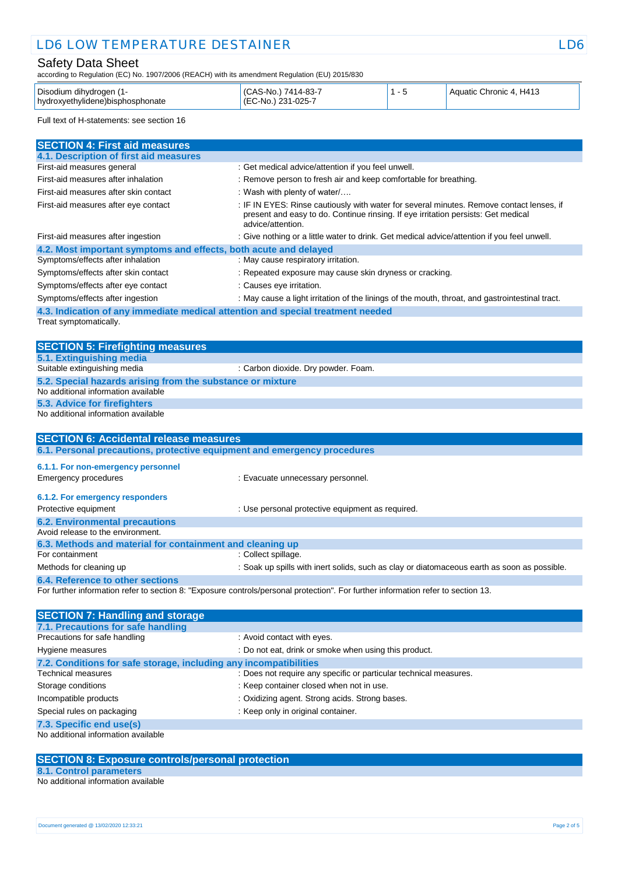# Safety Data Sheet

according to Regulation (EC) No. 1907/2006 (REACH) with its amendment Regulation (EU) 2015/830

| Disodium dihydrogen (<br>hydroxyethylidene) bisphosphonate | 7414-83-7<br>(CAS-No.)<br>231-025-7<br>$(EC-NO)$ |  | Aquatic Chronic 4, H413 |
|------------------------------------------------------------|--------------------------------------------------|--|-------------------------|
|------------------------------------------------------------|--------------------------------------------------|--|-------------------------|

Full text of H-statements: see section 16

| <b>SECTION 4: First aid measures</b>                                                              |                                                                                                                                                                                                    |
|---------------------------------------------------------------------------------------------------|----------------------------------------------------------------------------------------------------------------------------------------------------------------------------------------------------|
| 4.1. Description of first aid measures                                                            |                                                                                                                                                                                                    |
| First-aid measures general                                                                        | : Get medical advice/attention if you feel unwell.                                                                                                                                                 |
| First-aid measures after inhalation                                                               | : Remove person to fresh air and keep comfortable for breathing.                                                                                                                                   |
| First-aid measures after skin contact                                                             | : Wash with plenty of water/                                                                                                                                                                       |
| First-aid measures after eye contact                                                              | : IF IN EYES: Rinse cautiously with water for several minutes. Remove contact lenses, if<br>present and easy to do. Continue rinsing. If eye irritation persists: Get medical<br>advice/attention. |
| First-aid measures after ingestion                                                                | : Give nothing or a little water to drink. Get medical advice/attention if you feel unwell.                                                                                                        |
| 4.2. Most important symptoms and effects, both acute and delayed                                  |                                                                                                                                                                                                    |
| Symptoms/effects after inhalation                                                                 | : May cause respiratory irritation.                                                                                                                                                                |
| Symptoms/effects after skin contact                                                               | : Repeated exposure may cause skin dryness or cracking.                                                                                                                                            |
| Symptoms/effects after eye contact                                                                | : Causes eye irritation.                                                                                                                                                                           |
| Symptoms/effects after ingestion                                                                  | : May cause a light irritation of the linings of the mouth, throat, and gastrointestinal tract.                                                                                                    |
| 4.3. Indication of any immediate medical attention and special treatment needed                   |                                                                                                                                                                                                    |
| Treat symptomatically.                                                                            |                                                                                                                                                                                                    |
|                                                                                                   |                                                                                                                                                                                                    |
| <b>SECTION 5: Firefighting measures</b>                                                           |                                                                                                                                                                                                    |
| 5.1. Extinguishing media                                                                          |                                                                                                                                                                                                    |
| Suitable extinguishing media                                                                      | : Carbon dioxide. Dry powder. Foam.                                                                                                                                                                |
| 5.2. Special hazards arising from the substance or mixture<br>No additional information available |                                                                                                                                                                                                    |
|                                                                                                   |                                                                                                                                                                                                    |
| 5.3. Advice for firefighters<br>No additional information available                               |                                                                                                                                                                                                    |
|                                                                                                   |                                                                                                                                                                                                    |
| <b>SECTION 6: Accidental release measures</b>                                                     |                                                                                                                                                                                                    |
| 6.1. Personal precautions, protective equipment and emergency procedures                          |                                                                                                                                                                                                    |
| 6.1.1. For non-emergency personnel                                                                |                                                                                                                                                                                                    |
| <b>Emergency procedures</b>                                                                       | : Evacuate unnecessary personnel.                                                                                                                                                                  |
|                                                                                                   |                                                                                                                                                                                                    |
| 6.1.2. For emergency responders                                                                   |                                                                                                                                                                                                    |
| Protective equipment                                                                              | : Use personal protective equipment as required.                                                                                                                                                   |
| <b>6.2. Environmental precautions</b>                                                             |                                                                                                                                                                                                    |
| Avoid release to the environment.                                                                 |                                                                                                                                                                                                    |
| 6.3. Methods and material for containment and cleaning up                                         |                                                                                                                                                                                                    |
| For containment                                                                                   | : Collect spillage.                                                                                                                                                                                |
| Methods for cleaning up                                                                           | : Soak up spills with inert solids, such as clay or diatomaceous earth as soon as possible.                                                                                                        |
| 6.4. Reference to other sections                                                                  |                                                                                                                                                                                                    |
|                                                                                                   | For further information refer to section 8: "Exposure controls/personal protection". For further information refer to section 13.                                                                  |
|                                                                                                   |                                                                                                                                                                                                    |

| <b>SECTION 7: Handling and storage</b>                            |                                                                   |
|-------------------------------------------------------------------|-------------------------------------------------------------------|
| 7.1. Precautions for safe handling                                |                                                                   |
| Precautions for safe handling                                     | : Avoid contact with eyes.                                        |
| Hygiene measures                                                  | : Do not eat, drink or smoke when using this product.             |
| 7.2. Conditions for safe storage, including any incompatibilities |                                                                   |
| <b>Technical measures</b>                                         | : Does not require any specific or particular technical measures. |
| Storage conditions                                                | : Keep container closed when not in use.                          |
| Incompatible products                                             | : Oxidizing agent. Strong acids. Strong bases.                    |
| Special rules on packaging                                        | : Keep only in original container.                                |
| 7.3. Specific end use(s)                                          |                                                                   |
| No additional information available                               |                                                                   |

## **SECTION 8: Exposure controls/personal protection**

**8.1. Control parameters**

No additional information available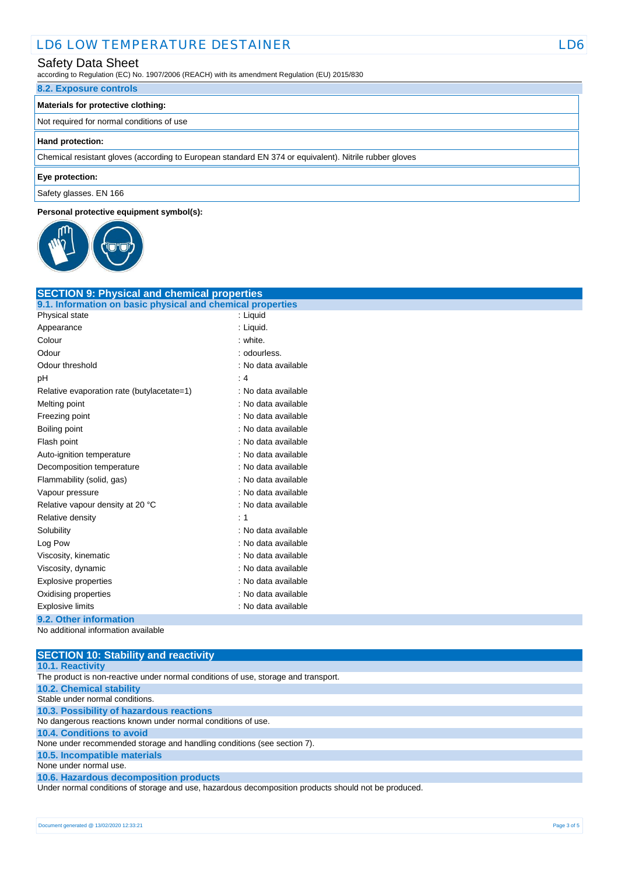### Safety Data Sheet

according to Regulation (EC) No. 1907/2006 (REACH) with its amendment Regulation (EU) 2015/830

### **8.2. Exposure controls**

### **Materials for protective clothing:**

Not required for normal conditions of use

#### **Hand protection:**

Chemical resistant gloves (according to European standard EN 374 or equivalent). Nitrile rubber gloves

#### **Eye protection:**

Safety glasses. EN 166

### **Personal protective equipment symbol(s):**



| <b>SECTION 9: Physical and chemical properties</b>         |                     |
|------------------------------------------------------------|---------------------|
| 9.1. Information on basic physical and chemical properties |                     |
| Physical state                                             | : Liquid            |
| Appearance                                                 | : Liquid.           |
| Colour                                                     | : white.            |
| Odour                                                      | : odourless.        |
| Odour threshold                                            | : No data available |
| рH                                                         | $\cdot$ 4           |
| Relative evaporation rate (butylacetate=1)                 | : No data available |
| Melting point                                              | : No data available |
| Freezing point                                             | : No data available |
| Boiling point                                              | : No data available |
| Flash point                                                | : No data available |
| Auto-ignition temperature                                  | : No data available |
| Decomposition temperature                                  | : No data available |
| Flammability (solid, gas)                                  | : No data available |
| Vapour pressure                                            | : No data available |
| Relative vapour density at 20 °C                           | : No data available |
| Relative density                                           | ۰ 1                 |
| Solubility                                                 | : No data available |
| Log Pow                                                    | : No data available |
| Viscosity, kinematic                                       | : No data available |
| Viscosity, dynamic                                         | : No data available |
| <b>Explosive properties</b>                                | : No data available |
| Oxidising properties                                       | : No data available |
| <b>Explosive limits</b>                                    | : No data available |
| 9.2. Other information                                     |                     |

No additional information available

**SECTION 10: Stability and reactivity 10.1. Reactivity** The product is non-reactive under normal conditions of use, storage and transport. **10.2. Chemical stability** Stable under normal conditions. **10.3. Possibility of hazardous reactions** No dangerous reactions known under normal conditions of use. **10.4. Conditions to avoid** None under recommended storage and handling conditions (see section 7). **10.5. Incompatible materials** None under normal use. **10.6. Hazardous decomposition products** Under normal conditions of storage and use, hazardous decomposition products should not be produced.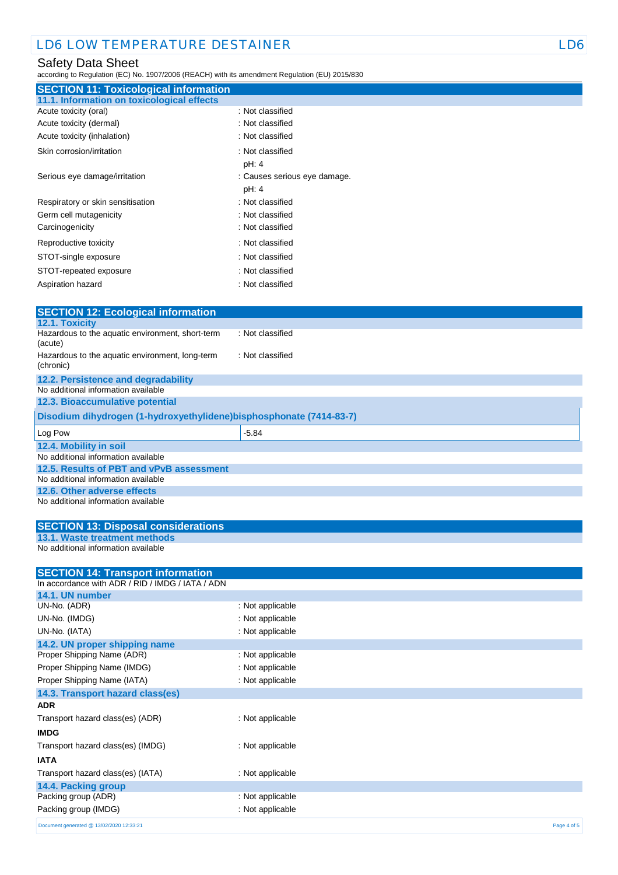# Safety Data Sheet

according to Regulation (EC) No. 1907/2006 (REACH) with its amendment Regulation (EU) 2015/830

| <b>SECTION 11: Toxicological information</b> |                              |
|----------------------------------------------|------------------------------|
| 11.1. Information on toxicological effects   |                              |
| Acute toxicity (oral)                        | : Not classified             |
| Acute toxicity (dermal)                      | : Not classified             |
| Acute toxicity (inhalation)                  | : Not classified             |
| Skin corrosion/irritation                    | : Not classified             |
|                                              | pH: 4                        |
| Serious eye damage/irritation                | : Causes serious eye damage. |
|                                              | pH: 4                        |
| Respiratory or skin sensitisation            | : Not classified             |
| Germ cell mutagenicity                       | : Not classified             |
| Carcinogenicity                              | : Not classified             |
| Reproductive toxicity                        | : Not classified             |
| STOT-single exposure                         | : Not classified             |
| STOT-repeated exposure                       | : Not classified             |
| Aspiration hazard                            | : Not classified             |

| <b>SECTION 12: Ecological information</b>                           |                  |  |
|---------------------------------------------------------------------|------------------|--|
| 12.1. Toxicity                                                      |                  |  |
| Hazardous to the aquatic environment, short-term<br>(acute)         | : Not classified |  |
| Hazardous to the aquatic environment, long-term<br>(chronic)        | : Not classified |  |
| 12.2. Persistence and degradability                                 |                  |  |
| No additional information available                                 |                  |  |
| 12.3. Bioaccumulative potential                                     |                  |  |
| Disodium dihydrogen (1-hydroxyethylidene)bisphosphonate (7414-83-7) |                  |  |
| Log Pow                                                             | $-5.84$          |  |
| 12.4. Mobility in soil                                              |                  |  |
| No additional information available                                 |                  |  |
| 12.5. Results of PBT and vPvB assessment                            |                  |  |
| No additional information available                                 |                  |  |
| 12.6. Other adverse effects<br>No additional information available  |                  |  |
|                                                                     |                  |  |
| <b>SECTION 13: Disposal considerations</b>                          |                  |  |
| <b>13.1. Waste treatment methods</b>                                |                  |  |
| No additional information available                                 |                  |  |
| <b>SECTION 14: Transport information</b>                            |                  |  |
| In accordance with ADR / RID / IMDG / IATA / ADN                    |                  |  |
| 14.1. UN number                                                     |                  |  |
| UN-No. (ADR)                                                        | : Not applicable |  |
| UN-No. (IMDG)                                                       | : Not applicable |  |
| UN-No. (IATA)                                                       | : Not applicable |  |
| 14.2. UN proper shipping name                                       |                  |  |
| Proper Shipping Name (ADR)                                          | : Not applicable |  |
| Proper Shipping Name (IMDG)                                         | : Not applicable |  |
| Proper Shipping Name (IATA)                                         | : Not applicable |  |
| 14.3. Transport hazard class(es)                                    |                  |  |
| ADR                                                                 |                  |  |
| Transport hazard class(es) (ADR)                                    | : Not applicable |  |
| <b>IMDG</b>                                                         |                  |  |
| Transport hazard class(es) (IMDG)                                   | : Not applicable |  |
| IATA                                                                |                  |  |
| Transport hazard class(es) (IATA)                                   | : Not applicable |  |
| 14.4. Packing group                                                 |                  |  |
| Packing group (ADR)                                                 | : Not applicable |  |
| Packing group (IMDG)                                                | : Not applicable |  |
| Document generated @ 13/02/2020 12:33:21                            | Page 4 of 5      |  |